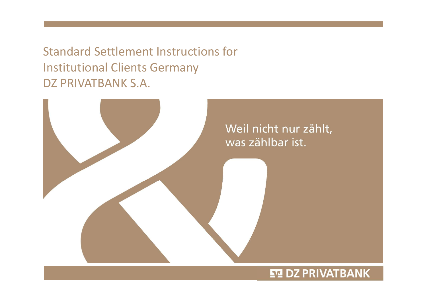Standard Settlement Instructions for Institutional Clients Germany DZ PRIVATBANK S.A.



# **ET DZ PRIVATBANK**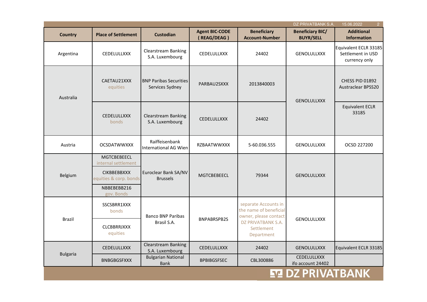| $\overline{2}$<br>DZ PRIVATBANK S.A.<br>15.06.2022 |                                                                                                                        |                                                  |                                      |                                                                         |                                             |                                                             |
|----------------------------------------------------|------------------------------------------------------------------------------------------------------------------------|--------------------------------------------------|--------------------------------------|-------------------------------------------------------------------------|---------------------------------------------|-------------------------------------------------------------|
| <b>Country</b>                                     | <b>Place of Settlement</b>                                                                                             | <b>Custodian</b>                                 | <b>Agent BIC-CODE</b><br>(REAG/DEAG) | <b>Beneficiary</b><br><b>Account-Number</b>                             | <b>Beneficiary BIC/</b><br><b>BUYR/SELL</b> | <b>Additional</b><br><b>Information</b>                     |
| Argentina                                          | CEDELULLXXX                                                                                                            | <b>Clearstream Banking</b><br>S.A. Luxembourg    | <b>CEDELULLXXX</b>                   | 24402                                                                   | <b>GENOLULLXXX</b>                          | Equivalent ECLR 33185<br>Settlement in USD<br>currency only |
| Australia                                          | CAETAU21XXX<br>equities                                                                                                | <b>BNP Paribas Securities</b><br>Services Sydney | PARBAU2SXXX                          | 2013840003                                                              | <b>GENOLULLXXX</b>                          | CHESS PID 01892<br><b>Austraclear BPSS20</b>                |
|                                                    | <b>CEDELULLXXX</b><br><b>bonds</b>                                                                                     | <b>Clearstream Banking</b><br>S.A. Luxembourg    | <b>CEDELULLXXX</b>                   | 24402                                                                   | 33185                                       | <b>Equivalent ECLR</b>                                      |
| Austria                                            | <b>OCSDATWWXXX</b>                                                                                                     | Raiffeisenbank<br>International AG Wien          | <b>RZBAATWWXXX</b>                   | 5-60.036.555                                                            | <b>GENOLULLXXX</b>                          | OCSD 227200                                                 |
| Belgium                                            | <b>MGTCBEBEECL</b><br>internal settlement<br><b>CIKBBEBBXXX</b><br>equities & corp. bonds<br>NBBEBEBB216<br>gov. Bonds | Euroclear Bank SA/NV<br><b>Brussels</b>          | <b>MGTCBEBEECL</b>                   | 79344                                                                   | <b>GENOLULLXXX</b>                          |                                                             |
| <b>Brazil</b>                                      | SSCSBRR1XXX<br>bonds                                                                                                   | <b>Banco BNP Paribas</b>                         | <b>BNPABRSPB2S</b>                   | separate Accounts in<br>the name of beneficial<br>owner, please contact | <b>GENOLULLXXX</b>                          |                                                             |
|                                                    | <b>CLCBBRRJXXX</b><br>equities                                                                                         | Brasil S.A.                                      |                                      | DZ PRIVATBANK S.A.<br>Settlement<br>Department                          |                                             |                                                             |
| <b>Bulgaria</b>                                    | CEDELULLXXX                                                                                                            | Clearstream Banking<br>S.A. Luxembourg           | CEDELULLXXX                          | 24402                                                                   | <b>GENOLULLXXX</b>                          | Equivalent ECLR 33185                                       |
|                                                    | <b>BNBGBGSFXXX</b>                                                                                                     | <b>Bulgarian National</b><br><b>Bank</b>         | <b>BPBIBGSFSEC</b>                   | CBL300886                                                               | CEDELULLXXX<br>ifo account 24402            |                                                             |
|                                                    |                                                                                                                        |                                                  |                                      | V                                                                       |                                             | PRIVATBANK                                                  |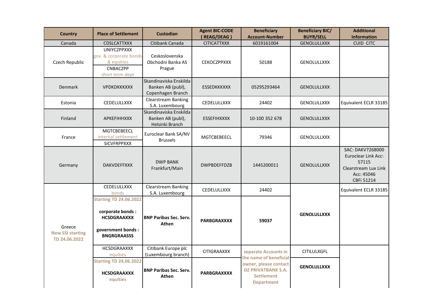| <b>Country</b>                                     | <b>Place of Settlement</b>                                                                                           | <b>Custodian</b>                                                 | <b>Agent BIC-CODE</b><br>(REAG/DEAG) | <b>Beneficiary</b><br><b>Account-Number</b>                                                  | <b>Beneficiary BIC/</b><br><b>BUYR/SELL</b> | <b>Additional</b><br><b>Information</b>                                                              |
|----------------------------------------------------|----------------------------------------------------------------------------------------------------------------------|------------------------------------------------------------------|--------------------------------------|----------------------------------------------------------------------------------------------|---------------------------------------------|------------------------------------------------------------------------------------------------------|
| Canada                                             | <b>CDSLCATTXXX</b>                                                                                                   | Citibank Canada                                                  | <b>CITICATTXXX</b>                   | 6019161004                                                                                   | <b>GENOLULLXXX</b>                          | <b>CUID CITC</b>                                                                                     |
| Czech Republic                                     | <b>UNIYCZPPXXX</b><br>gov. & corporate bonds<br>& equities<br>CNBACZPP<br>short term dept                            | Ceskoslovenska<br>Obchodni Banka AS<br>Prague                    | <b>CEKOCZPPXXX</b>                   | 50188                                                                                        | <b>GENOLULLXXX</b>                          |                                                                                                      |
| <b>Denmark</b>                                     | <b>VPDKDKKKXXX</b>                                                                                                   | Skandinaviska Enskilda<br>Banken AB (publ),<br>Copenhagen Branch | <b>ESSEDKKKXXX</b>                   | 05295293464                                                                                  | <b>GENOLULLXXX</b>                          |                                                                                                      |
| Estonia                                            | <b>CEDELULLXXX</b>                                                                                                   | <b>Clearstream Banking</b><br>S.A. Luxembourg                    | CEDELULLXXX                          | 24402                                                                                        | <b>GENOLULLXXX</b>                          | Equivalent ECLR 33185                                                                                |
| Finland                                            | <b>APKEFIHHXXX</b>                                                                                                   | Skandinaviska Enskilda<br>Banken AB (publ),<br>Helsinki Branch   | <b>ESSEFIHXXXX</b>                   | 10-100 352 678                                                                               | <b>GENOLULLXXX</b>                          |                                                                                                      |
| France                                             | MGTCBEBEECL<br>internal settlement<br><b>SICVFRPPXXX</b>                                                             | Euroclear Bank SA/NV<br><b>Brussels</b>                          | <b>MGTCBEBEECL</b>                   | 79346                                                                                        | <b>GENOLULLXXX</b>                          |                                                                                                      |
| Germany                                            | <b>DAKVDEFFXXX</b>                                                                                                   | <b>DWP BANK</b><br>Frankfurt/Main                                | <b>DWPBDEFFDZB</b>                   | 1445200011                                                                                   | <b>GENOLULLXXX</b>                          | SAC: DAKV7268000<br>Euroclear Link Acc:<br>57115<br>Clearstream Lux Link<br>Acc: 45046<br>CBFi 51214 |
|                                                    | <b>CEDELULLXXX</b><br>bonds                                                                                          | <b>Clearstream Banking</b><br>S.A. Luxembourg                    | <b>CEDELULLXXX</b>                   | 24402                                                                                        |                                             | Equivalent ECLR 33185                                                                                |
| Greece<br><b>New SSI starting</b><br>TD 24.06.2022 | <b>Starting TD 24.06.2022</b><br>corporate bonds :<br><b>HCSDGRAAXXX</b><br>government bonds :<br><b>BNGRGRAASSS</b> | <b>BNP Paribas Sec. Serv.</b><br>Athen                           | <b>PARBGRAXXXX</b>                   | 59037                                                                                        | <b>GENOLULLXXX</b>                          |                                                                                                      |
|                                                    | <b>HCSDGRAAXXX</b><br>equities                                                                                       | Citibank Europe plc<br>(Luxembourg branch)                       | <b>CITIGRAAXXX</b>                   | separate Accounts in<br>the name of beneficial                                               | <b>CITILULXGFL</b>                          |                                                                                                      |
|                                                    | <b>Starting TD 24.06.2022</b><br><b>HCSDGRAAXXX</b><br>equities                                                      | <b>BNP Paribas Sec. Serv.</b><br>Athen                           | <b>PARBGRAXXXX</b>                   | owner, please contact<br><b>DZ PRIVATBANK S.A.</b><br><b>Settlement</b><br><b>Department</b> | <b>GENOLULLXXX</b>                          |                                                                                                      |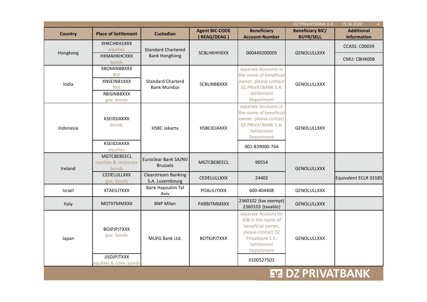| 15.06.2022<br>$\overline{4}$<br>DZ PRIVATBANK S.A. |                                                     |                                                   |                       |                                                                                                                                     |                            |                       |
|----------------------------------------------------|-----------------------------------------------------|---------------------------------------------------|-----------------------|-------------------------------------------------------------------------------------------------------------------------------------|----------------------------|-----------------------|
| <b>Country</b>                                     | <b>Place of Settlement</b>                          | <b>Custodian</b>                                  | <b>Agent BIC-CODE</b> | <b>Beneficiary</b>                                                                                                                  | <b>Beneficiary BIC/</b>    | <b>Additional</b>     |
|                                                    |                                                     |                                                   | (REAG/DEAG)           | <b>Account-Number</b>                                                                                                               | <b>BUYR/SELL</b>           | <b>Information</b>    |
| Hongkong                                           | XHKCHKH1XXX<br>equities<br>НКМАНКНСХХХ              | <b>Standard Chartered</b><br><b>Bank HongKong</b> | <b>SCBLHKHHXXX</b>    | 000449200005                                                                                                                        | <b>GENOLULLXXX</b>         | <b>CCASS: C00039</b>  |
|                                                    | bonds                                               |                                                   |                       |                                                                                                                                     |                            | CMU: CBHK008          |
|                                                    | <b>XBOMINBBXXX</b><br><b>BSE</b>                    |                                                   |                       | separate Accounts in<br>the name of beneficial                                                                                      |                            |                       |
|                                                    | XNSEINB1XXX                                         | <b>Standard Charterd</b>                          |                       | owner, please contact                                                                                                               |                            |                       |
| India                                              | <b>NSE</b>                                          | <b>Bank Mumbai</b>                                | SCBLINBBXXX           | DZ PRIVATBANK S.A.                                                                                                                  | <b>GENOLULLXXX</b>         |                       |
|                                                    | RBISINBBXXX                                         |                                                   |                       | Settlement                                                                                                                          |                            |                       |
|                                                    | gov. bonds                                          |                                                   |                       | Department                                                                                                                          |                            |                       |
|                                                    |                                                     |                                                   |                       | separate Accounts in<br>the name of beneficial                                                                                      |                            |                       |
|                                                    | KSEIIDJAXXX                                         |                                                   |                       | owner, please contact                                                                                                               |                            |                       |
| Indonesia                                          | bonds                                               | <b>HSBC Jakarta</b>                               | <b>HSBCIDJAXXX</b>    | DZ PRIVATBANK S.A.<br><b>GENOLULLXXX</b><br>Settlement<br>Department                                                                |                            |                       |
|                                                    |                                                     |                                                   |                       |                                                                                                                                     |                            |                       |
|                                                    | <b>KSEIIDJAXXX</b>                                  |                                                   |                       |                                                                                                                                     |                            |                       |
|                                                    | equities                                            |                                                   |                       | 001-839000-764                                                                                                                      |                            |                       |
| Ireland                                            | <b>MGTCBEBEECL</b><br>equities & corporate<br>bonds | Euroclear Bank SA/NV<br><b>Brussels</b>           | <b>MGTCBEBEECL</b>    | 90554                                                                                                                               | <b>GENOLULLXXX</b>         |                       |
|                                                    | CEDELULLXXX<br>gov. bonds                           | <b>Clearstream Banking</b><br>S.A. Luxembourg     | <b>CEDELULLXXX</b>    | 24402                                                                                                                               |                            | Equivalent ECLR 33185 |
| Israel                                             | <b>XTAEILITXXX</b>                                  | <b>Bank Hapoalim Tel</b><br>Aviv                  | <b>POALILITXXX</b>    | 600-404408                                                                                                                          | <b>GENOLULLXXX</b>         |                       |
| Italy                                              | <b>MOTIITMMXXX</b>                                  | <b>BNP Milan</b>                                  | <b>PARBITMMXXX</b>    | 2360102 (tax exempt)<br>2360103 (taxable)                                                                                           | <b>GENOLULLXXX</b>         |                       |
| Japan                                              | <b>BOJPJPJTXXX</b><br>gov. bonds                    | <b>MUFG Bank Ltd.</b>                             | <b>BOTKJPJTXXX</b>    | separate Account for<br>JGB in the name of<br>beneficial owner,<br>please contact DZ<br>Privatbank S.A.<br>Settlement<br>Department | <b>GENOLULLXXX</b>         |                       |
|                                                    | <b>JJSDJPJTXXX</b>                                  |                                                   |                       | 0100527503                                                                                                                          |                            |                       |
|                                                    | equities & conv. bonds                              |                                                   |                       |                                                                                                                                     |                            |                       |
|                                                    |                                                     |                                                   |                       |                                                                                                                                     | <b>57 DZ DDIVATD A NIV</b> |                       |

# **E'LL DE PRIVAI BAINK**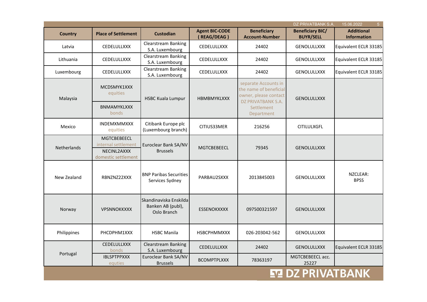| 5 <sup>1</sup><br>DZ PRIVATBANK S.A.<br>15.06.2022 |                                                                                 |                                                            |                                                                                               |                                             |                                             |                                         |  |
|----------------------------------------------------|---------------------------------------------------------------------------------|------------------------------------------------------------|-----------------------------------------------------------------------------------------------|---------------------------------------------|---------------------------------------------|-----------------------------------------|--|
| <b>Country</b>                                     | <b>Place of Settlement</b>                                                      | <b>Custodian</b>                                           | <b>Agent BIC-CODE</b><br>(REAG/DEAG)                                                          | <b>Beneficiary</b><br><b>Account-Number</b> | <b>Beneficiary BIC/</b><br><b>BUYR/SELL</b> | <b>Additional</b><br><b>Information</b> |  |
| Latvia                                             | CEDELULLXXX                                                                     | <b>Clearstream Banking</b><br>S.A. Luxembourg              | CEDELULLXXX                                                                                   | 24402                                       | <b>GENOLULLXXX</b>                          | Equivalent ECLR 33185                   |  |
| Lithuania                                          | CEDELULLXXX                                                                     | Clearstream Banking<br>S.A. Luxembourg                     | <b>CEDELULLXXX</b>                                                                            | 24402                                       | <b>GENOLULLXXX</b>                          | Equivalent ECLR 33185                   |  |
| Luxembourg                                         | CEDELULLXXX                                                                     | <b>Clearstream Banking</b><br>S.A. Luxembourg              | CEDELULLXXX                                                                                   | 24402                                       | <b>GENOLULLXXX</b>                          | Equivalent ECLR 33185                   |  |
| Malaysia                                           | MCDSMYK1XXX<br>equities<br><b>HSBC Kuala Lumpur</b>                             | <b>HBMBMYKLXXX</b>                                         | separate Accounts in<br>the name of beneficial<br>owner, please contact<br>DZ PRIVATBANK S.A. | <b>GENOLULLXXX</b>                          |                                             |                                         |  |
|                                                    | <b>BNMAMYKLXXX</b><br>bonds                                                     |                                                            |                                                                                               | Settlement<br>Department                    |                                             |                                         |  |
| Mexico                                             | <b>INDEMXMMXXX</b><br>equities                                                  | Citibank Europe plc<br>(Luxembourg branch)                 | CITIUS33MER                                                                                   | 216256                                      | <b>CITILULXGFL</b>                          |                                         |  |
| <b>Netherlands</b>                                 | <b>MGTCBEBEECL</b><br>internal settlement<br>NECINL2AXXX<br>domestic settlement | Euroclear Bank SA/NV<br><b>Brussels</b>                    | <b>MGTCBEBEECL</b>                                                                            | 79345                                       | <b>GENOLULLXXX</b>                          |                                         |  |
| New Zealand                                        | RBNZNZ22XXX                                                                     | <b>BNP Paribas Securities</b><br>Services Sydney           | PARBAU2SXXX                                                                                   | 2013845003                                  | <b>GENOLULLXXX</b>                          | NZCLEAR:<br><b>BPSS</b>                 |  |
| Norway                                             | <b>VPSNNOKKXXX</b>                                                              | Skandinaviska Enskilda<br>Banken AB (publ),<br>Oslo Branch | <b>ESSENOKXXXX</b>                                                                            | 097500321597                                | <b>GENOLULLXXX</b>                          |                                         |  |
| Philippines                                        | PHCDPHM1XXX                                                                     | <b>HSBC Manila</b>                                         | <b>HSBCPHMMXXX</b>                                                                            | 026-203042-562                              | <b>GENOLULLXXX</b>                          |                                         |  |
|                                                    | CEDELULLXXX<br>bonds                                                            | <b>Clearstream Banking</b><br>S.A. Luxembourg              | <b>CEDELULLXXX</b>                                                                            | 24402                                       | <b>GENOLULLXXX</b>                          | Equivalent ECLR 33185                   |  |
| Portugal                                           | <b>IBLSPTPPXXX</b><br>equties                                                   | Euroclear Bank SA/NV<br><b>Brussels</b>                    | <b>BCOMPTPLXXX</b>                                                                            | 78363197                                    | MGTCBEBEECL acc.<br>25227                   |                                         |  |
|                                                    |                                                                                 |                                                            |                                                                                               |                                             | <b>EZ DZ PRIVATBANK</b>                     |                                         |  |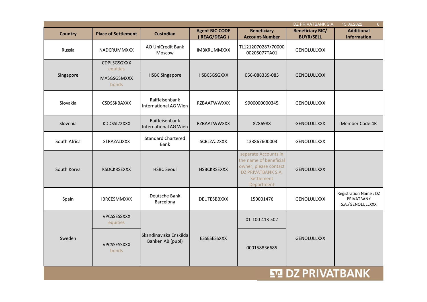| 6 <sup>1</sup><br>DZ PRIVATBANK S.A.<br>15.06.2022 |                                |                                                |                       |                                                                                                                           |                         |                                                                |
|----------------------------------------------------|--------------------------------|------------------------------------------------|-----------------------|---------------------------------------------------------------------------------------------------------------------------|-------------------------|----------------------------------------------------------------|
| <b>Country</b>                                     | <b>Place of Settlement</b>     | <b>Custodian</b>                               | <b>Agent BIC-CODE</b> | <b>Beneficiary</b>                                                                                                        | <b>Beneficiary BIC/</b> | <b>Additional</b>                                              |
|                                                    |                                |                                                | (REAG/DEAG)           | <b>Account-Number</b>                                                                                                     | <b>BUYR/SELL</b>        | <b>Information</b>                                             |
| Russia                                             | <b>NADCRUMMXXX</b>             | AO UniCredit Bank<br>Moscow                    | <b>IMBKRUMMXXX</b>    | TL1212070287/70000<br>00205077TA01                                                                                        | <b>GENOLULLXXX</b>      |                                                                |
|                                                    | <b>CDPLSGSGXXX</b><br>equities |                                                |                       |                                                                                                                           |                         |                                                                |
| Singapore                                          | MASGSGSMXXX<br>bonds           | <b>HSBC Singapore</b>                          | <b>HSBCSGSGXXX</b>    | 056-088339-085                                                                                                            | <b>GENOLULLXXX</b>      |                                                                |
| Slovakia                                           | CSDSSKBAXXX                    | Raiffeisenbank<br><b>International AG Wien</b> | <b>RZBAATWWXXX</b>    | 9900000000345                                                                                                             | GENOLULLXXX             |                                                                |
| Slovenia                                           | KDDSSI22XXX                    | Raiffeisenbank<br>International AG Wien        | <b>RZBAATWWXXX</b>    | 8286988                                                                                                                   | <b>GENOLULLXXX</b>      | Member Code 4R                                                 |
| South Africa                                       | <b>STRAZAJJXXX</b>             | <b>Standard Chartered</b><br><b>Bank</b>       | SCBLZAJ2XXX           | 133867600003                                                                                                              | <b>GENOLULLXXX</b>      |                                                                |
| South Korea                                        | <b>KSDCKRSEXXX</b>             | <b>HSBC Seoul</b>                              | <b>HSBCKRSEXXX</b>    | separate Accounts in<br>the name of beneficial<br>owner, please contact<br>DZ PRIVATBANK S.A.<br>Settlement<br>Department | <b>GENOLULLXXX</b>      |                                                                |
| Spain                                              | <b>IBRCESMMXXX</b>             | Deutsche Bank<br>Barcelona                     | DEUTESBBXXX           | 150001476                                                                                                                 | GENOLULLXXX             | <b>Registration Name: DZ</b><br>PRIVATBANK<br>S.A./GENOLULLXXX |
|                                                    | VPCSSESSXXX<br>equities        |                                                |                       | 01-100 413 502                                                                                                            |                         |                                                                |
| Sweden                                             | <b>VPCSSESSXXX</b><br>bonds    | Skandinaviska Enskilda<br>Banken AB (publ)     | ESSESESSXXX           | 000158836685                                                                                                              | <b>GENOLULLXXX</b>      |                                                                |
| EZ DZ PRIVATBANK                                   |                                |                                                |                       |                                                                                                                           |                         |                                                                |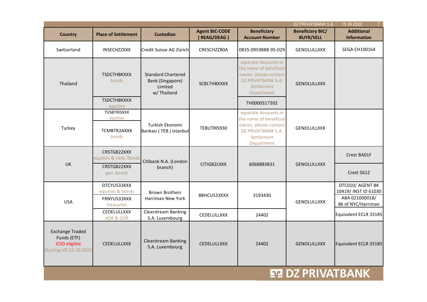| $\overline{7}$<br>DZ PRIVATBANK S.A.<br>15.06.2022                                             |                                                                                                                                     |                                                                                                                           |                                      |                                                                                                                           |                                             |                                                                                  |
|------------------------------------------------------------------------------------------------|-------------------------------------------------------------------------------------------------------------------------------------|---------------------------------------------------------------------------------------------------------------------------|--------------------------------------|---------------------------------------------------------------------------------------------------------------------------|---------------------------------------------|----------------------------------------------------------------------------------|
| <b>Country</b>                                                                                 | <b>Place of Settlement</b>                                                                                                          | <b>Custodian</b>                                                                                                          | <b>Agent BIC-CODE</b><br>(REAG/DEAG) | <b>Beneficiary</b><br><b>Account-Number</b>                                                                               | <b>Beneficiary BIC/</b><br><b>BUYR/SELL</b> | <b>Additional</b><br><b>Information</b>                                          |
| Switzerland                                                                                    | INSECHZZXXX                                                                                                                         | Credit Suisse AG Zürich                                                                                                   | CRESCHZZ80A                          | 0835-0959888-95-029                                                                                                       | <b>GENOLULLXXX</b>                          | <b>SEGA CH100164</b>                                                             |
| Thailand                                                                                       | <b>TSDCTHBKXXX</b><br><b>Standard Chartered</b><br><b>bonds</b><br>Bank (Singapore)<br><b>SCBLTHBXXXX</b><br>Limited<br>w/ Thailand | separate Accounts in<br>the name of beneficial<br>owner, please contact<br>DZ PRIVATBANK S.A.<br>Settlement<br>Department | <b>GENOLULLXXX</b>                   |                                                                                                                           |                                             |                                                                                  |
|                                                                                                | <b>TSDCTHBKXXX</b><br>equities                                                                                                      |                                                                                                                           |                                      | TH0000317302                                                                                                              |                                             |                                                                                  |
| Turkey                                                                                         | TVSBTRISXXX<br>equities<br>TCMBTR2AXXX<br>bonds                                                                                     | Turkish Ekonomi<br>Bankasi (TEB) Istanbul                                                                                 | TEBUTRIS930                          | separate Accounts in<br>the name of beneficial<br>owner, please contact<br>DZ PRIVATBANK S.A.<br>Settlement<br>Department | <b>GENOLULLXXX</b>                          |                                                                                  |
| UK                                                                                             | CRSTGB22XXX<br>equities & corp. Bonds<br>CRSTGB22XXX<br>gov. bonds                                                                  | Citibank N.A. (London<br>branch)                                                                                          | CITIGB2LXXX                          | 6068883831                                                                                                                | <b>GENOLULLXXX</b>                          | Crest BA01F<br><b>Crest 5612</b>                                                 |
|                                                                                                |                                                                                                                                     |                                                                                                                           |                                      |                                                                                                                           |                                             |                                                                                  |
| <b>USA</b>                                                                                     | DTCYUS33XXX<br>equities & bonds<br>FRNYUS33XXX<br>treasuries                                                                        | <b>Brown Brothers</b><br>Harriman New York                                                                                | BBHCUS33XXX                          | 3193430                                                                                                                   | GENOLULLXXX                                 | DTC010/ AGENT BK<br>10419/ INST ID 61030<br>ABA 021000018/<br>Bk of NYC/Harriman |
|                                                                                                | CEDELULLXXX<br><b>ADR &amp; GDR</b>                                                                                                 | Clearstream Banking<br>S.A. Luxembourg                                                                                    | CEDELULLXXX                          | 24402                                                                                                                     |                                             | Equivalent ECLR 33185                                                            |
| <b>Exchange Traded</b><br>Funds (ETF)<br><b>ICSD</b> eligible<br><b>Starting VD 22.10.2021</b> | CEDELULLXXX                                                                                                                         | <b>Clearstream Banking</b><br>S.A. Luxembourg                                                                             | CEDELULLXXX                          | 24402                                                                                                                     | <b>GENOLULLXXX</b>                          | Equivalent ECLR 33185                                                            |
|                                                                                                |                                                                                                                                     |                                                                                                                           |                                      |                                                                                                                           | EZ DZ PRIVATBANK                            |                                                                                  |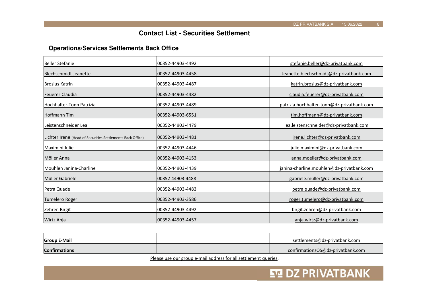**ET DZ PRIVATBANK** 

## **Contact List - Securities Settlement**

#### **Operations/Services Settlements Back Office**

| Beller Stefanie                                            | l00352-44903-4492 | stefanie.beller@dz-privatbank.com          |
|------------------------------------------------------------|-------------------|--------------------------------------------|
| Blechschmidt Jeanette                                      | 00352-44903-4458  | Jeanette.blechschmidt@dz-privatbank.com    |
| <b>Brosius Katrin</b>                                      | 00352-44903-4487  | katrin.brosius@dz-privatbank.com           |
| Feuerer Claudia                                            | 00352-44903-4482  | claudia.feuerer@dz-privatbank.com          |
| <b>Hochhalter-Tonn Patrizia</b>                            | 100352-44903-4489 | patrizia.hochhalter-tonn@dz-privatbank.com |
| lHoffmann Tim                                              | 00352-44903-6551  | tim.hoffmann@dz-privatbank.com             |
| Leistenschneider Lea                                       | 00352-44903-4479  | lea.leistenschneider@dz-privatbank.com     |
| Lichter Irene (Head of Securities Settlements Back Office) | 00352-44903-4481  | irene.lichter@dz-privatbank.com            |
| Maximini Julie                                             | 00352-44903-4446  | julie.maximini@dz-privatbank.com           |
| Möller Anna                                                | 00352-44903-4153  | anna.moeller@dz-privatbank.com             |
| Mouhlen Janina-Charline                                    | 100352-44903-4439 | janina-charline.mouhlen@dz-privatbank.com  |
| Müller Gabriele                                            | 00352 44903-4488  | gabriele.müller@dz-privatbank.com          |
| <b>Petra Quade</b>                                         | 00352-44903-4483  | petra.quade@dz-privatbank.com              |
| Tumelero Roger                                             | 00352-44903-3586  | roger.tumelero@dz-privatbank.com           |
| Zehren Birgit                                              | 00352-44903-4492  | birgit.zehren@dz-privatbank.com            |
| Wirtz Anja                                                 | 100352-44903-4457 | anja.wirtz@dz-privatbank.com               |

| <b>Group E-Mail</b>  | settlements@dz-privatbank.com             |
|----------------------|-------------------------------------------|
| <b>Confirmations</b> | dirmationsOS@dz-privatbank.com<br>contil. |

Please use our group e-mail address for all settlement queries.